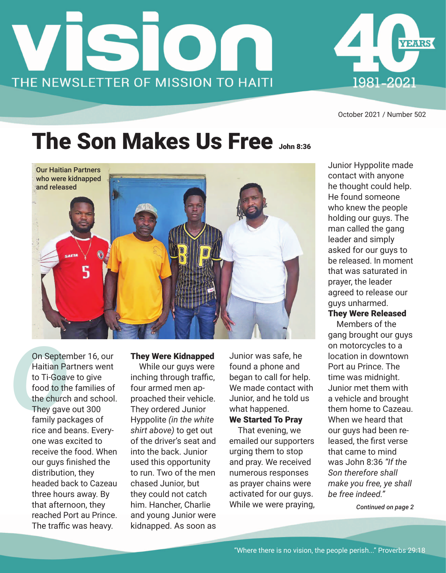



October 2021 / Number 502

## The Son Makes Us Free John 8:36



On Septer<br>
Haitian Pa<br>
to Ti-Goav<br>
food to th<br>
the church<br>
They gave<br>
family pao On September 16, our Haitian Partners went to Ti-Goave to give food to the families of the church and school. They gave out 300 family packages of rice and beans. Everyone was excited to receive the food. When our guys finished the distribution, they headed back to Cazeau three hours away. By that afternoon, they reached Port au Prince. The traffic was heavy.

They Were Kidnapped While our guys were inching through traffic, four armed men approached their vehicle. They ordered Junior Hyppolite *(in the white shirt above)* to get out of the driver's seat and into the back. Junior used this opportunity to run. Two of the men chased Junior, but they could not catch him. Hancher, Charlie and young Junior were kidnapped. As soon as

Junior was safe, he found a phone and began to call for help. We made contact with Junior, and he told us what happened. We Started To Pray

That evening, we emailed our supporters urging them to stop and pray. We received numerous responses as prayer chains were activated for our guys. While we were praying, *Continued on page 2*

Junior Hyppolite made contact with anyone he thought could help. He found someone who knew the people holding our guys. The man called the gang leader and simply asked for our guys to be released. In moment that was saturated in prayer, the leader agreed to release our guys unharmed.

### They Were Released

Members of the gang brought our guys on motorcycles to a location in downtown Port au Prince. The time was midnight. Junior met them with a vehicle and brought them home to Cazeau. When we heard that our guys had been released, the first verse that came to mind was John 8:36 *"If the Son therefore shall make you free, ye shall be free indeed."*